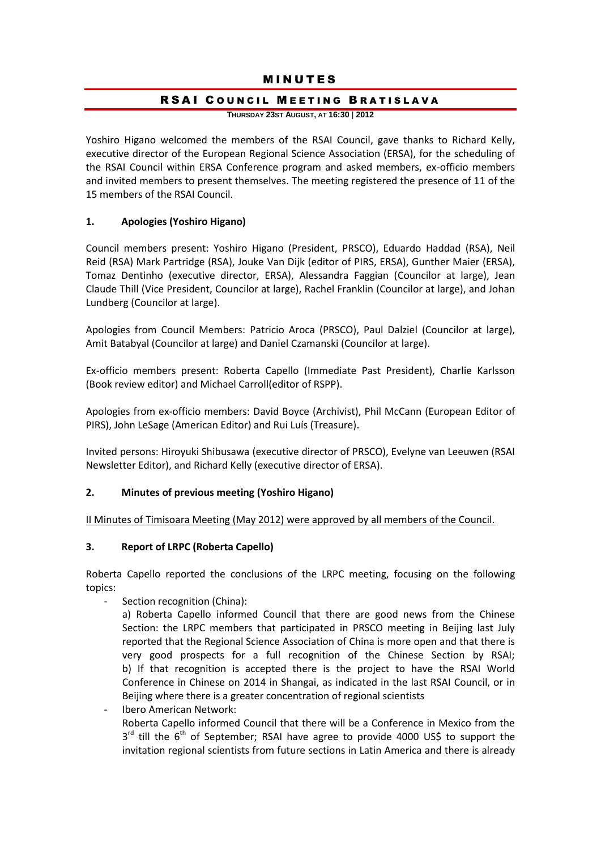## **MINUTES**

#### RSAI COUNCIL MEETING BRATISLAVA

**THURSDAY 23ST AUGUST, AT 16:30** | **2012**

Yoshiro Higano welcomed the members of the RSAI Council, gave thanks to Richard Kelly, executive director of the European Regional Science Association (ERSA), for the scheduling of the RSAI Council within ERSA Conference program and asked members, ex-officio members and invited members to present themselves. The meeting registered the presence of 11 of the 15 members of the RSAI Council.

#### **1. Apologies (Yoshiro Higano)**

Council members present: Yoshiro Higano (President, PRSCO), Eduardo Haddad (RSA), Neil Reid (RSA) Mark Partridge (RSA), Jouke Van Dijk (editor of PIRS, ERSA), Gunther Maier (ERSA), Tomaz Dentinho (executive director, ERSA), Alessandra Faggian (Councilor at large), Jean Claude Thill (Vice President, Councilor at large), Rachel Franklin (Councilor at large), and Johan Lundberg (Councilor at large).

Apologies from Council Members: Patricio Aroca (PRSCO), Paul Dalziel (Councilor at large), Amit Batabyal (Councilor at large) and Daniel Czamanski (Councilor at large).

Ex-officio members present: Roberta Capello (Immediate Past President), Charlie Karlsson (Book review editor) and Michael Carroll(editor of RSPP).

Apologies from ex-officio members: David Boyce (Archivist), Phil McCann (European Editor of PIRS), John LeSage (American Editor) and Rui Luís (Treasure).

Invited persons: Hiroyuki Shibusawa (executive director of PRSCO), Evelyne van Leeuwen (RSAI Newsletter Editor), and Richard Kelly (executive director of ERSA).

#### **2. Minutes of previous meeting (Yoshiro Higano)**

II Minutes of Timisoara Meeting (May 2012) were approved by all members of the Council.

#### **3. Report of LRPC (Roberta Capello)**

Roberta Capello reported the conclusions of the LRPC meeting, focusing on the following topics:

- Section recognition (China):
	- a) Roberta Capello informed Council that there are good news from the Chinese Section: the LRPC members that participated in PRSCO meeting in Beijing last July reported that the Regional Science Association of China is more open and that there is very good prospects for a full recognition of the Chinese Section by RSAI; b) If that recognition is accepted there is the project to have the RSAI World Conference in Chinese on 2014 in Shangai, as indicated in the last RSAI Council, or in Beijing where there is a greater concentration of regional scientists
- Ibero American Network: Roberta Capello informed Council that there will be a Conference in Mexico from the  $3^{rd}$  till the  $6^{th}$  of September; RSAI have agree to provide 4000 US\$ to support the invitation regional scientists from future sections in Latin America and there is already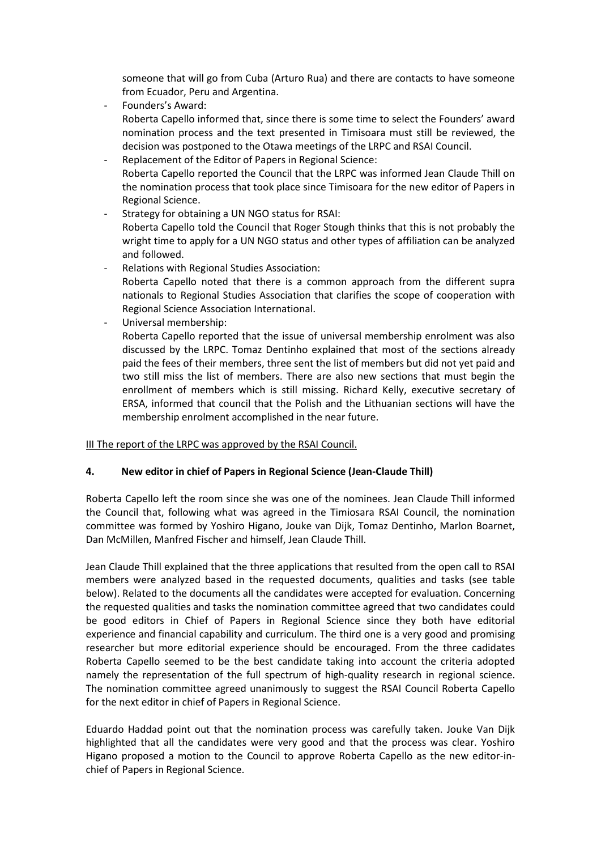someone that will go from Cuba (Arturo Rua) and there are contacts to have someone from Ecuador, Peru and Argentina.

Founders's Award:

Roberta Capello informed that, since there is some time to select the Founders' award nomination process and the text presented in Timisoara must still be reviewed, the decision was postponed to the Otawa meetings of the LRPC and RSAI Council.

- Replacement of the Editor of Papers in Regional Science: Roberta Capello reported the Council that the LRPC was informed Jean Claude Thill on the nomination process that took place since Timisoara for the new editor of Papers in Regional Science.
- Strategy for obtaining a UN NGO status for RSAI: Roberta Capello told the Council that Roger Stough thinks that this is not probably the wright time to apply for a UN NGO status and other types of affiliation can be analyzed and followed.
- Relations with Regional Studies Association: Roberta Capello noted that there is a common approach from the different supra nationals to Regional Studies Association that clarifies the scope of cooperation with Regional Science Association International.
- Universal membership:

Roberta Capello reported that the issue of universal membership enrolment was also discussed by the LRPC. Tomaz Dentinho explained that most of the sections already paid the fees of their members, three sent the list of members but did not yet paid and two still miss the list of members. There are also new sections that must begin the enrollment of members which is still missing. Richard Kelly, executive secretary of ERSA, informed that council that the Polish and the Lithuanian sections will have the membership enrolment accomplished in the near future.

#### III The report of the LRPC was approved by the RSAI Council.

## **4. New editor in chief of Papers in Regional Science (Jean-Claude Thill)**

Roberta Capello left the room since she was one of the nominees. Jean Claude Thill informed the Council that, following what was agreed in the Timiosara RSAI Council, the nomination committee was formed by Yoshiro Higano, Jouke van Dijk, Tomaz Dentinho, Marlon Boarnet, Dan McMillen, Manfred Fischer and himself, Jean Claude Thill.

Jean Claude Thill explained that the three applications that resulted from the open call to RSAI members were analyzed based in the requested documents, qualities and tasks (see table below). Related to the documents all the candidates were accepted for evaluation. Concerning the requested qualities and tasks the nomination committee agreed that two candidates could be good editors in Chief of Papers in Regional Science since they both have editorial experience and financial capability and curriculum. The third one is a very good and promising researcher but more editorial experience should be encouraged. From the three cadidates Roberta Capello seemed to be the best candidate taking into account the criteria adopted namely the representation of the full spectrum of high-quality research in regional science. The nomination committee agreed unanimously to suggest the RSAI Council Roberta Capello for the next editor in chief of Papers in Regional Science.

Eduardo Haddad point out that the nomination process was carefully taken. Jouke Van Dijk highlighted that all the candidates were very good and that the process was clear. Yoshiro Higano proposed a motion to the Council to approve Roberta Capello as the new editor-inchief of Papers in Regional Science.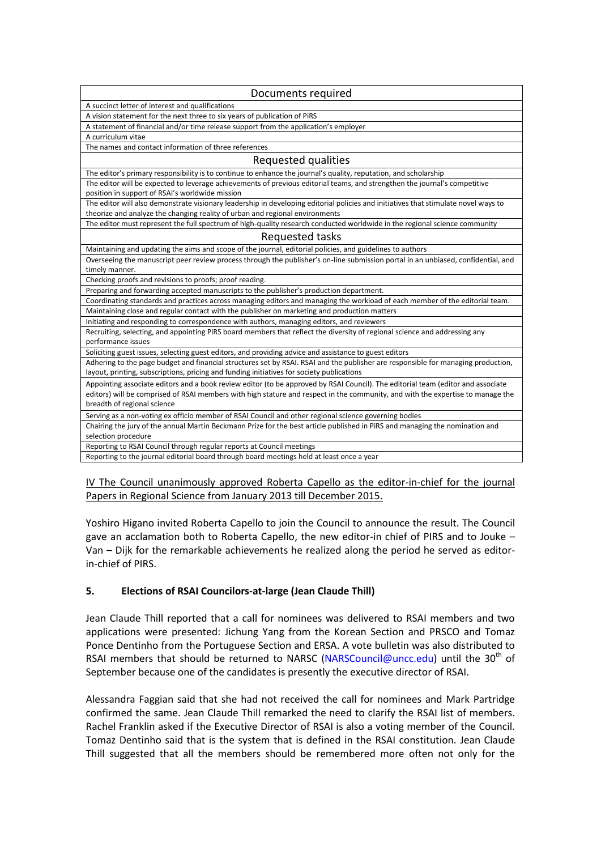| Documents required                                                                                                                  |
|-------------------------------------------------------------------------------------------------------------------------------------|
| A succinct letter of interest and qualifications                                                                                    |
| A vision statement for the next three to six years of publication of PiRS                                                           |
| A statement of financial and/or time release support from the application's employer                                                |
| A curriculum vitae                                                                                                                  |
| The names and contact information of three references                                                                               |
| Requested qualities                                                                                                                 |
| The editor's primary responsibility is to continue to enhance the journal's quality, reputation, and scholarship                    |
| The editor will be expected to leverage achievements of previous editorial teams, and strengthen the journal's competitive          |
| position in support of RSAI's worldwide mission                                                                                     |
| The editor will also demonstrate visionary leadership in developing editorial policies and initiatives that stimulate novel ways to |
| theorize and analyze the changing reality of urban and regional environments                                                        |
| The editor must represent the full spectrum of high-quality research conducted worldwide in the regional science community          |
| Requested tasks                                                                                                                     |
| Maintaining and updating the aims and scope of the journal, editorial policies, and guidelines to authors                           |
| Overseeing the manuscript peer review process through the publisher's on-line submission portal in an unbiased, confidential, and   |
| timely manner.                                                                                                                      |
| Checking proofs and revisions to proofs; proof reading.                                                                             |
| Preparing and forwarding accepted manuscripts to the publisher's production department.                                             |
| Coordinating standards and practices across managing editors and managing the workload of each member of the editorial team.        |
| Maintaining close and regular contact with the publisher on marketing and production matters                                        |
| Initiating and responding to correspondence with authors, managing editors, and reviewers                                           |
| Recruiting, selecting, and appointing PiRS board members that reflect the diversity of regional science and addressing any          |
| performance issues                                                                                                                  |
| Soliciting guest issues, selecting guest editors, and providing advice and assistance to guest editors                              |
| Adhering to the page budget and financial structures set by RSAI. RSAI and the publisher are responsible for managing production,   |
| layout, printing, subscriptions, pricing and funding initiatives for society publications                                           |
| Appointing associate editors and a book review editor (to be approved by RSAI Council). The editorial team (editor and associate    |
| editors) will be comprised of RSAI members with high stature and respect in the community, and with the expertise to manage the     |
| breadth of regional science                                                                                                         |
| Serving as a non-voting ex officio member of RSAI Council and other regional science governing bodies                               |
| Chairing the jury of the annual Martin Beckmann Prize for the best article published in PiRS and managing the nomination and        |
| selection procedure                                                                                                                 |
| Reporting to RSAI Council through regular reports at Council meetings                                                               |
| Reporting to the journal editorial board through board meetings held at least once a year                                           |
|                                                                                                                                     |

IV The Council unanimously approved Roberta Capello as the editor-in-chief for the journal Papers in Regional Science from January 2013 till December 2015.

Yoshiro Higano invited Roberta Capello to join the Council to announce the result. The Council gave an acclamation both to Roberta Capello, the new editor-in chief of PIRS and to Jouke – Van – Dijk for the remarkable achievements he realized along the period he served as editorin-chief of PIRS.

## **5. Elections of RSAI Councilors-at-large (Jean Claude Thill)**

Jean Claude Thill reported that a call for nominees was delivered to RSAI members and two applications were presented: Jichung Yang from the Korean Section and PRSCO and Tomaz Ponce Dentinho from the Portuguese Section and ERSA. A vote bulletin was also distributed to RSAI members that should be returned to NARSC [\(NARSCouncil@uncc.edu\)](mailto:NARSCouncil@uncc.edu) until the 30<sup>th</sup> of September because one of the candidates is presently the executive director of RSAI.

Alessandra Faggian said that she had not received the call for nominees and Mark Partridge confirmed the same. Jean Claude Thill remarked the need to clarify the RSAI list of members. Rachel Franklin asked if the Executive Director of RSAI is also a voting member of the Council. Tomaz Dentinho said that is the system that is defined in the RSAI constitution. Jean Claude Thill suggested that all the members should be remembered more often not only for the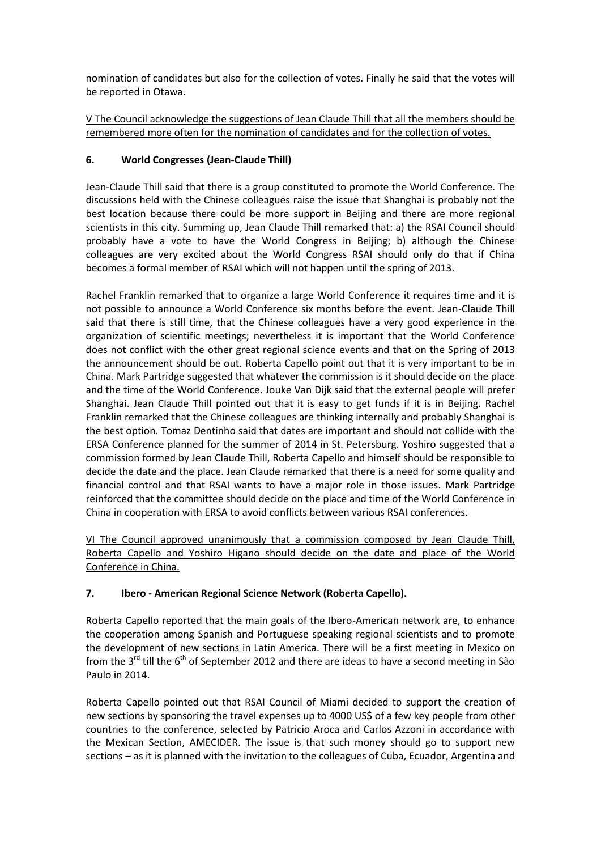nomination of candidates but also for the collection of votes. Finally he said that the votes will be reported in Otawa.

V The Council acknowledge the suggestions of Jean Claude Thill that all the members should be remembered more often for the nomination of candidates and for the collection of votes.

# **6. World Congresses (Jean-Claude Thill)**

Jean-Claude Thill said that there is a group constituted to promote the World Conference. The discussions held with the Chinese colleagues raise the issue that Shanghai is probably not the best location because there could be more support in Beijing and there are more regional scientists in this city. Summing up, Jean Claude Thill remarked that: a) the RSAI Council should probably have a vote to have the World Congress in Beijing; b) although the Chinese colleagues are very excited about the World Congress RSAI should only do that if China becomes a formal member of RSAI which will not happen until the spring of 2013.

Rachel Franklin remarked that to organize a large World Conference it requires time and it is not possible to announce a World Conference six months before the event. Jean-Claude Thill said that there is still time, that the Chinese colleagues have a very good experience in the organization of scientific meetings; nevertheless it is important that the World Conference does not conflict with the other great regional science events and that on the Spring of 2013 the announcement should be out. Roberta Capello point out that it is very important to be in China. Mark Partridge suggested that whatever the commission is it should decide on the place and the time of the World Conference. Jouke Van Dijk said that the external people will prefer Shanghai. Jean Claude Thill pointed out that it is easy to get funds if it is in Beijing. Rachel Franklin remarked that the Chinese colleagues are thinking internally and probably Shanghai is the best option. Tomaz Dentinho said that dates are important and should not collide with the ERSA Conference planned for the summer of 2014 in St. Petersburg. Yoshiro suggested that a commission formed by Jean Claude Thill, Roberta Capello and himself should be responsible to decide the date and the place. Jean Claude remarked that there is a need for some quality and financial control and that RSAI wants to have a major role in those issues. Mark Partridge reinforced that the committee should decide on the place and time of the World Conference in China in cooperation with ERSA to avoid conflicts between various RSAI conferences.

VI The Council approved unanimously that a commission composed by Jean Claude Thill, Roberta Capello and Yoshiro Higano should decide on the date and place of the World Conference in China.

## **7. Ibero - American Regional Science Network (Roberta Capello).**

Roberta Capello reported that the main goals of the Ibero-American network are, to enhance the cooperation among Spanish and Portuguese speaking regional scientists and to promote the development of new sections in Latin America. There will be a first meeting in Mexico on from the  $3^{rd}$  till the  $6^{th}$  of September 2012 and there are ideas to have a second meeting in São Paulo in 2014.

Roberta Capello pointed out that RSAI Council of Miami decided to support the creation of new sections by sponsoring the travel expenses up to 4000 US\$ of a few key people from other countries to the conference, selected by Patricio Aroca and Carlos Azzoni in accordance with the Mexican Section, AMECIDER. The issue is that such money should go to support new sections – as it is planned with the invitation to the colleagues of Cuba, Ecuador, Argentina and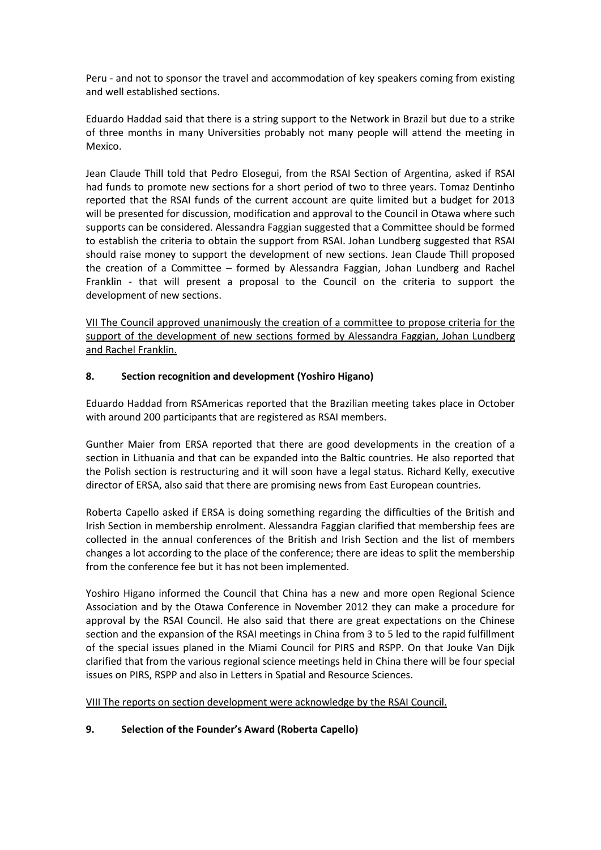Peru - and not to sponsor the travel and accommodation of key speakers coming from existing and well established sections.

Eduardo Haddad said that there is a string support to the Network in Brazil but due to a strike of three months in many Universities probably not many people will attend the meeting in Mexico.

Jean Claude Thill told that Pedro Elosegui, from the RSAI Section of Argentina, asked if RSAI had funds to promote new sections for a short period of two to three years. Tomaz Dentinho reported that the RSAI funds of the current account are quite limited but a budget for 2013 will be presented for discussion, modification and approval to the Council in Otawa where such supports can be considered. Alessandra Faggian suggested that a Committee should be formed to establish the criteria to obtain the support from RSAI. Johan Lundberg suggested that RSAI should raise money to support the development of new sections. Jean Claude Thill proposed the creation of a Committee – formed by Alessandra Faggian, Johan Lundberg and Rachel Franklin - that will present a proposal to the Council on the criteria to support the development of new sections.

VII The Council approved unanimously the creation of a committee to propose criteria for the support of the development of new sections formed by Alessandra Faggian, Johan Lundberg and Rachel Franklin.

## **8. Section recognition and development (Yoshiro Higano)**

Eduardo Haddad from RSAmericas reported that the Brazilian meeting takes place in October with around 200 participants that are registered as RSAI members.

Gunther Maier from ERSA reported that there are good developments in the creation of a section in Lithuania and that can be expanded into the Baltic countries. He also reported that the Polish section is restructuring and it will soon have a legal status. Richard Kelly, executive director of ERSA, also said that there are promising news from East European countries.

Roberta Capello asked if ERSA is doing something regarding the difficulties of the British and Irish Section in membership enrolment. Alessandra Faggian clarified that membership fees are collected in the annual conferences of the British and Irish Section and the list of members changes a lot according to the place of the conference; there are ideas to split the membership from the conference fee but it has not been implemented.

Yoshiro Higano informed the Council that China has a new and more open Regional Science Association and by the Otawa Conference in November 2012 they can make a procedure for approval by the RSAI Council. He also said that there are great expectations on the Chinese section and the expansion of the RSAI meetings in China from 3 to 5 led to the rapid fulfillment of the special issues planed in the Miami Council for PIRS and RSPP. On that Jouke Van Dijk clarified that from the various regional science meetings held in China there will be four special issues on PIRS, RSPP and also in Letters in Spatial and Resource Sciences.

VIII The reports on section development were acknowledge by the RSAI Council.

## **9. Selection of the Founder's Award (Roberta Capello)**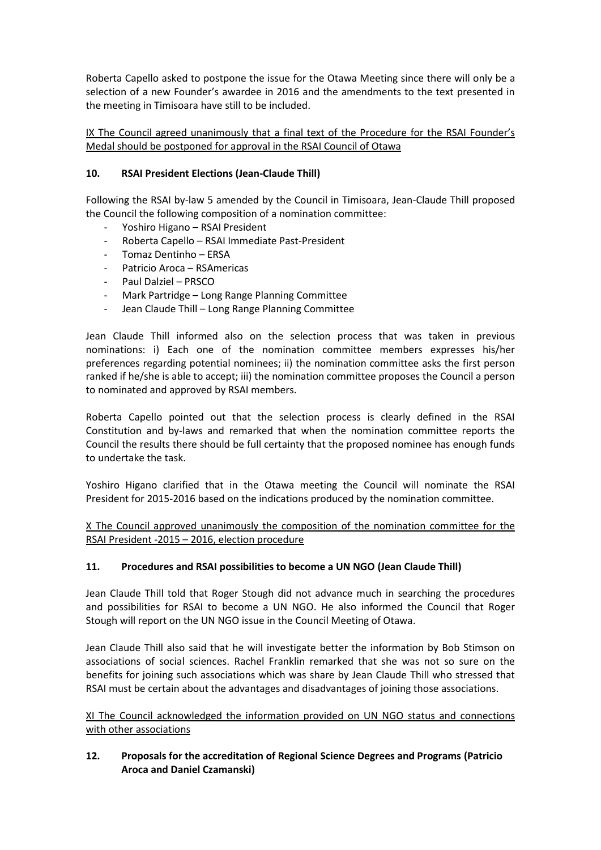Roberta Capello asked to postpone the issue for the Otawa Meeting since there will only be a selection of a new Founder's awardee in 2016 and the amendments to the text presented in the meeting in Timisoara have still to be included.

IX The Council agreed unanimously that a final text of the Procedure for the RSAI Founder's Medal should be postponed for approval in the RSAI Council of Otawa

# **10. RSAI President Elections (Jean-Claude Thill)**

Following the RSAI by-law 5 amended by the Council in Timisoara, Jean-Claude Thill proposed the Council the following composition of a nomination committee:

- Yoshiro Higano RSAI President
- Roberta Capello RSAI Immediate Past-President
- Tomaz Dentinho ERSA
- Patricio Aroca RSAmericas
- Paul Dalziel PRSCO
- Mark Partridge Long Range Planning Committee
- Jean Claude Thill Long Range Planning Committee

Jean Claude Thill informed also on the selection process that was taken in previous nominations: i) Each one of the nomination committee members expresses his/her preferences regarding potential nominees; ii) the nomination committee asks the first person ranked if he/she is able to accept; iii) the nomination committee proposes the Council a person to nominated and approved by RSAI members.

Roberta Capello pointed out that the selection process is clearly defined in the RSAI Constitution and by-laws and remarked that when the nomination committee reports the Council the results there should be full certainty that the proposed nominee has enough funds to undertake the task.

Yoshiro Higano clarified that in the Otawa meeting the Council will nominate the RSAI President for 2015-2016 based on the indications produced by the nomination committee.

X The Council approved unanimously the composition of the nomination committee for the RSAI President -2015 – 2016, election procedure

## **11. Procedures and RSAI possibilities to become a UN NGO (Jean Claude Thill)**

Jean Claude Thill told that Roger Stough did not advance much in searching the procedures and possibilities for RSAI to become a UN NGO. He also informed the Council that Roger Stough will report on the UN NGO issue in the Council Meeting of Otawa.

Jean Claude Thill also said that he will investigate better the information by Bob Stimson on associations of social sciences. Rachel Franklin remarked that she was not so sure on the benefits for joining such associations which was share by Jean Claude Thill who stressed that RSAI must be certain about the advantages and disadvantages of joining those associations.

XI The Council acknowledged the information provided on UN NGO status and connections with other associations

# **12. Proposals for the accreditation of Regional Science Degrees and Programs (Patricio Aroca and Daniel Czamanski)**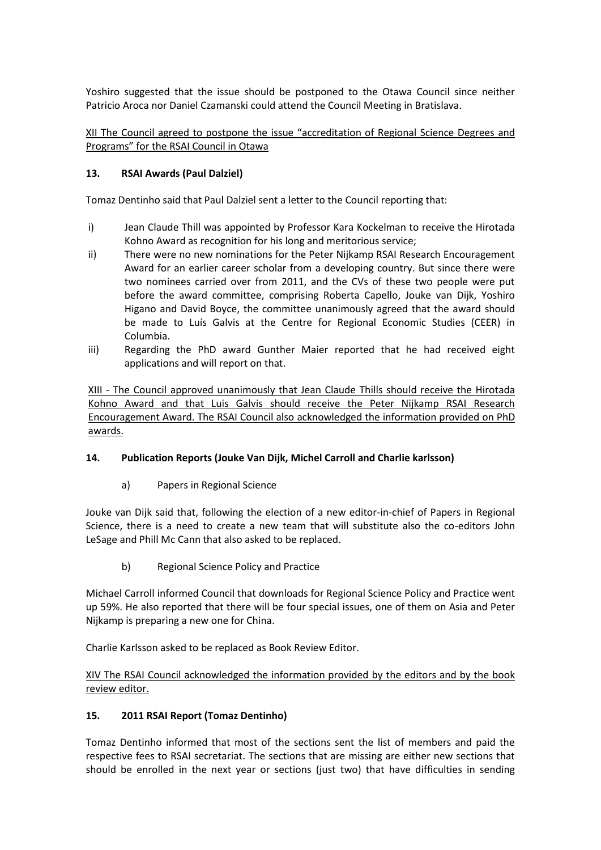Yoshiro suggested that the issue should be postponed to the Otawa Council since neither Patricio Aroca nor Daniel Czamanski could attend the Council Meeting in Bratislava.

XII The Council agreed to postpone the issue "accreditation of Regional Science Degrees and Programs" for the RSAI Council in Otawa

#### **13. RSAI Awards (Paul Dalziel)**

Tomaz Dentinho said that Paul Dalziel sent a letter to the Council reporting that:

- i) Jean Claude Thill was appointed by Professor Kara Kockelman to receive the Hirotada Kohno Award as recognition for his long and meritorious service;
- ii) There were no new nominations for the Peter Nijkamp RSAI Research Encouragement Award for an earlier career scholar from a developing country. But since there were two nominees carried over from 2011, and the CVs of these two people were put before the award committee, comprising Roberta Capello, Jouke van Dijk, Yoshiro Higano and David Boyce, the committee unanimously agreed that the award should be made to Luís Galvis at the Centre for Regional Economic Studies (CEER) in Columbia.
- iii) Regarding the PhD award Gunther Maier reported that he had received eight applications and will report on that.

XIII - The Council approved unanimously that Jean Claude Thills should receive the Hirotada Kohno Award and that Luis Galvis should receive the Peter Nijkamp RSAI Research Encouragement Award. The RSAI Council also acknowledged the information provided on PhD awards.

## **14. Publication Reports (Jouke Van Dijk, Michel Carroll and Charlie karlsson)**

a) Papers in Regional Science

Jouke van Dijk said that, following the election of a new editor-in-chief of Papers in Regional Science, there is a need to create a new team that will substitute also the co-editors John LeSage and Phill Mc Cann that also asked to be replaced.

b) Regional Science Policy and Practice

Michael Carroll informed Council that downloads for Regional Science Policy and Practice went up 59%. He also reported that there will be four special issues, one of them on Asia and Peter Nijkamp is preparing a new one for China.

Charlie Karlsson asked to be replaced as Book Review Editor.

XIV The RSAI Council acknowledged the information provided by the editors and by the book review editor.

## **15. 2011 RSAI Report (Tomaz Dentinho)**

Tomaz Dentinho informed that most of the sections sent the list of members and paid the respective fees to RSAI secretariat. The sections that are missing are either new sections that should be enrolled in the next year or sections (just two) that have difficulties in sending